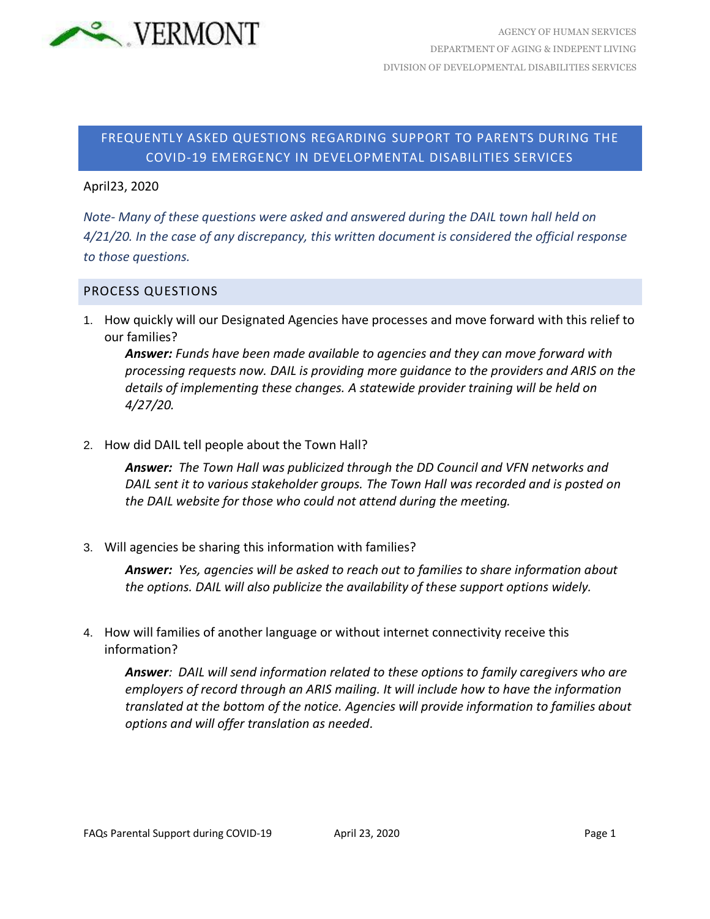

# FREQUENTLY ASKED QUESTIONS REGARDING SUPPORT TO PARENTS DURING THE COVID-19 EMERGENCY IN DEVELOPMENTAL DISABILITIES SERVICES

#### April23, 2020

*Note- Many of these questions were asked and answered during the DAIL town hall held on 4/21/20. In the case of any discrepancy, this written document is considered the official response to those questions.*

### PROCESS QUESTIONS

1. How quickly will our Designated Agencies have processes and move forward with this relief to our families?

*Answer: Funds have been made available to agencies and they can move forward with processing requests now. DAIL is providing more guidance to the providers and ARIS on the details of implementing these changes. A statewide provider training will be held on 4/27/20.*

2. How did DAIL tell people about the Town Hall?

*Answer: The Town Hall was publicized through the DD Council and VFN networks and DAIL sent it to various stakeholder groups. The Town Hall was recorded and is posted on the DAIL website for those who could not attend during the meeting.*

3. Will agencies be sharing this information with families?

*Answer: Yes, agencies will be asked to reach out to families to share information about the options. DAIL will also publicize the availability of these support options widely.*

4. How will families of another language or without internet connectivity receive this information?

*Answer: DAIL will send information related to these options to family caregivers who are employers of record through an ARIS mailing. It will include how to have the information translated at the bottom of the notice. Agencies will provide information to families about options and will offer translation as needed.*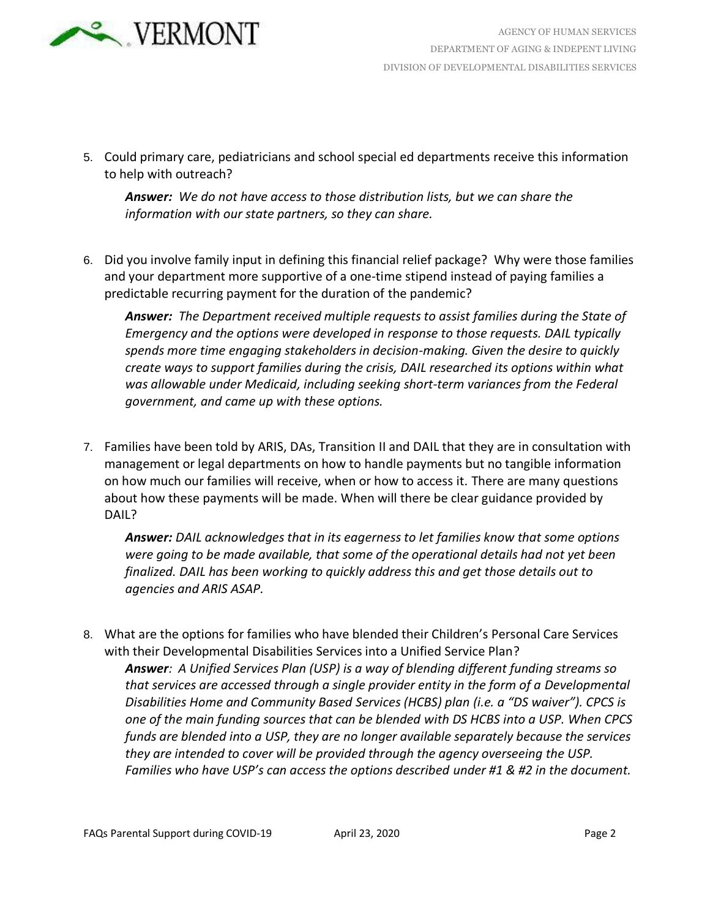

5. Could primary care, pediatricians and school special ed departments receive this information to help with outreach?

*Answer: We do not have access to those distribution lists, but we can share the information with our state partners, so they can share.*

6. Did you involve family input in defining this financial relief package? Why were those families and your department more supportive of a one-time stipend instead of paying families a predictable recurring payment for the duration of the pandemic?

*Answer: The Department received multiple requests to assist families during the State of Emergency and the options were developed in response to those requests. DAIL typically spends more time engaging stakeholders in decision-making. Given the desire to quickly create ways to support families during the crisis, DAIL researched its options within what was allowable under Medicaid, including seeking short-term variances from the Federal government, and came up with these options.*

7. Families have been told by ARIS, DAs, Transition II and DAIL that they are in consultation with management or legal departments on how to handle payments but no tangible information on how much our families will receive, when or how to access it. There are many questions about how these payments will be made. When will there be clear guidance provided by DAIL?

*Answer: DAIL acknowledges that in its eagerness to let families know that some options were going to be made available, that some of the operational details had not yet been finalized. DAIL has been working to quickly address this and get those details out to agencies and ARIS ASAP.*

8. What are the options for families who have blended their Children's Personal Care Services with their Developmental Disabilities Services into a Unified Service Plan?

*Answer: A Unified Services Plan (USP) is a way of blending different funding streams so that services are accessed through a single provider entity in the form of a Developmental Disabilities Home and Community Based Services (HCBS) plan (i.e. a "DS waiver"). CPCS is one of the main funding sources that can be blended with DS HCBS into a USP. When CPCS funds are blended into a USP, they are no longer available separately because the services they are intended to cover will be provided through the agency overseeing the USP. Families who have USP's can access the options described under #1 & #2 in the document.*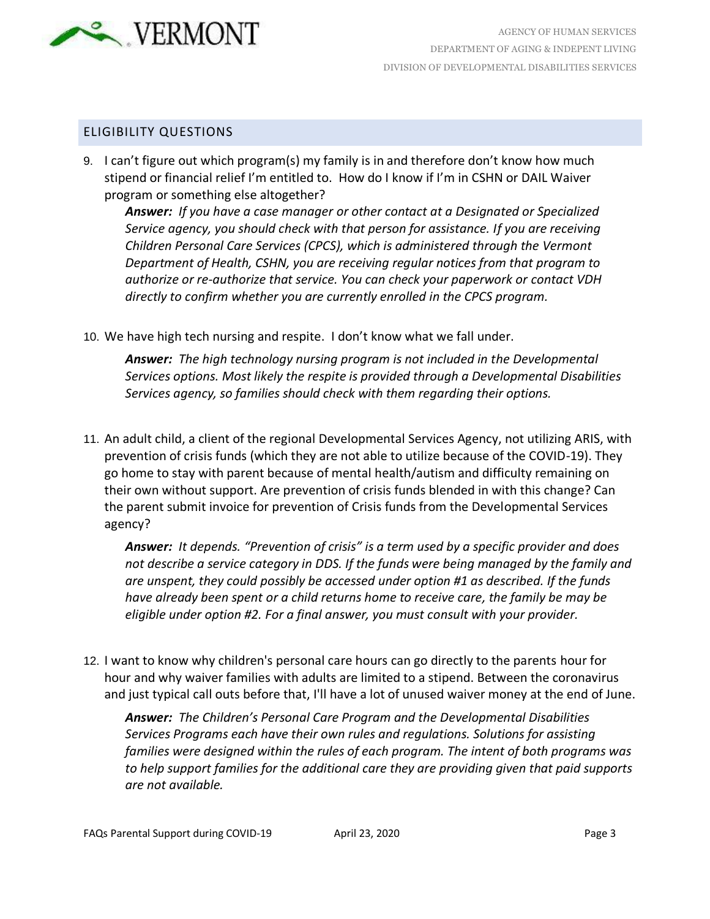

### ELIGIBILITY QUESTIONS

9. I can't figure out which program(s) my family is in and therefore don't know how much stipend or financial relief I'm entitled to. How do I know if I'm in CSHN or DAIL Waiver program or something else altogether?

*Answer: If you have a case manager or other contact at a Designated or Specialized Service agency, you should check with that person for assistance. If you are receiving Children Personal Care Services (CPCS), which is administered through the Vermont Department of Health, CSHN, you are receiving regular notices from that program to authorize or re-authorize that service. You can check your paperwork or contact VDH directly to confirm whether you are currently enrolled in the CPCS program.*

10. We have high tech nursing and respite. I don't know what we fall under.

*Answer: The high technology nursing program is not included in the Developmental Services options. Most likely the respite is provided through a Developmental Disabilities Services agency, so families should check with them regarding their options.*

11. An adult child, a client of the regional Developmental Services Agency, not utilizing ARIS, with prevention of crisis funds (which they are not able to utilize because of the COVID-19). They go home to stay with parent because of mental health/autism and difficulty remaining on their own without support. Are prevention of crisis funds blended in with this change? Can the parent submit invoice for prevention of Crisis funds from the Developmental Services agency?

*Answer: It depends. "Prevention of crisis" is a term used by a specific provider and does not describe a service category in DDS. If the funds were being managed by the family and are unspent, they could possibly be accessed under option #1 as described. If the funds have already been spent or a child returns home to receive care, the family be may be eligible under option #2. For a final answer, you must consult with your provider.*

12. I want to know why children's personal care hours can go directly to the parents hour for hour and why waiver families with adults are limited to a stipend. Between the coronavirus and just typical call outs before that, I'll have a lot of unused waiver money at the end of June.

*Answer: The Children's Personal Care Program and the Developmental Disabilities Services Programs each have their own rules and regulations. Solutions for assisting families were designed within the rules of each program. The intent of both programs was to help support families for the additional care they are providing given that paid supports are not available.*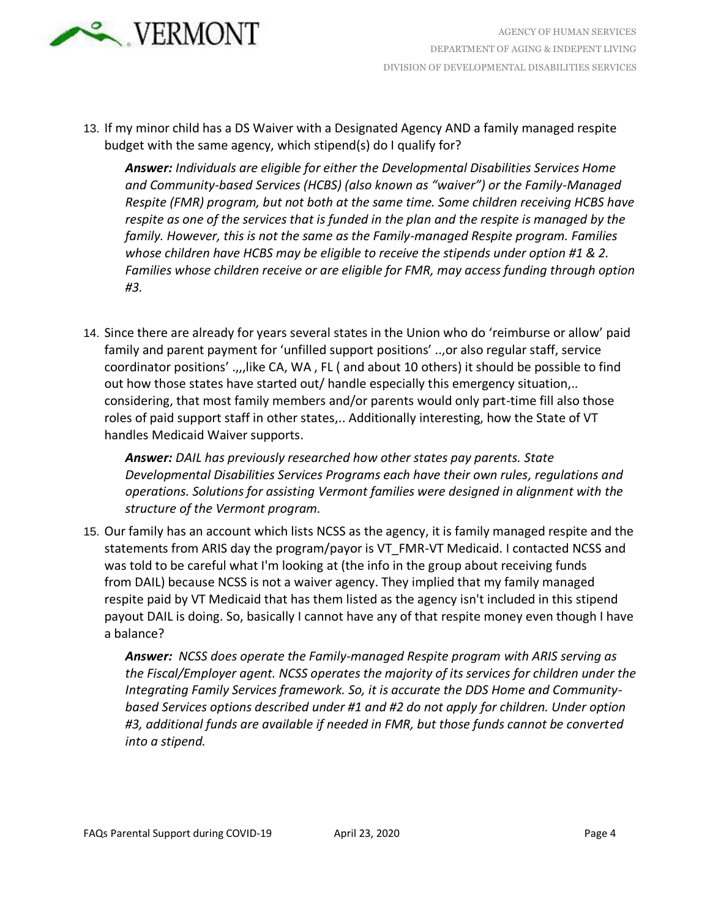

13. If my minor child has a DS Waiver with a Designated Agency AND a family managed respite budget with the same agency, which stipend(s) do I qualify for?

*Answer: Individuals are eligible for either the Developmental Disabilities Services Home and Community-based Services (HCBS) (also known as "waiver") or the Family-Managed Respite (FMR) program, but not both at the same time. Some children receiving HCBS have respite as one of the services that is funded in the plan and the respite is managed by the family. However, this is not the same as the Family-managed Respite program. Families whose children have HCBS may be eligible to receive the stipends under option #1 & 2. Families whose children receive or are eligible for FMR, may access funding through option #3.*

14. Since there are already for years several states in the Union who do 'reimburse or allow' paid family and parent payment for 'unfilled support positions' ..,or also regular staff, service coordinator positions' .,,,like CA, WA , FL ( and about 10 others) it should be possible to find out how those states have started out/ handle especially this emergency situation,.. considering, that most family members and/or parents would only part-time fill also those roles of paid support staff in other states,.. Additionally interesting, how the State of VT handles Medicaid Waiver supports.

*Answer: DAIL has previously researched how other states pay parents. State Developmental Disabilities Services Programs each have their own rules, regulations and operations. Solutions for assisting Vermont families were designed in alignment with the structure of the Vermont program.*

15. Our family has an account which lists NCSS as the agency, it is family managed respite and the statements from ARIS day the program/payor is VT\_FMR-VT Medicaid. I contacted NCSS and was told to be careful what I'm looking at (the info in the group about receiving funds from DAIL) because NCSS is not a waiver agency. They implied that my family managed respite paid by VT Medicaid that has them listed as the agency isn't included in this stipend payout DAIL is doing. So, basically I cannot have any of that respite money even though I have a balance?

*Answer: NCSS does operate the Family-managed Respite program with ARIS serving as the Fiscal/Employer agent. NCSS operates the majority of its services for children under the Integrating Family Services framework. So, it is accurate the DDS Home and Communitybased Services options described under #1 and #2 do not apply for children. Under option #3, additional funds are available if needed in FMR, but those funds cannot be converted into a stipend.*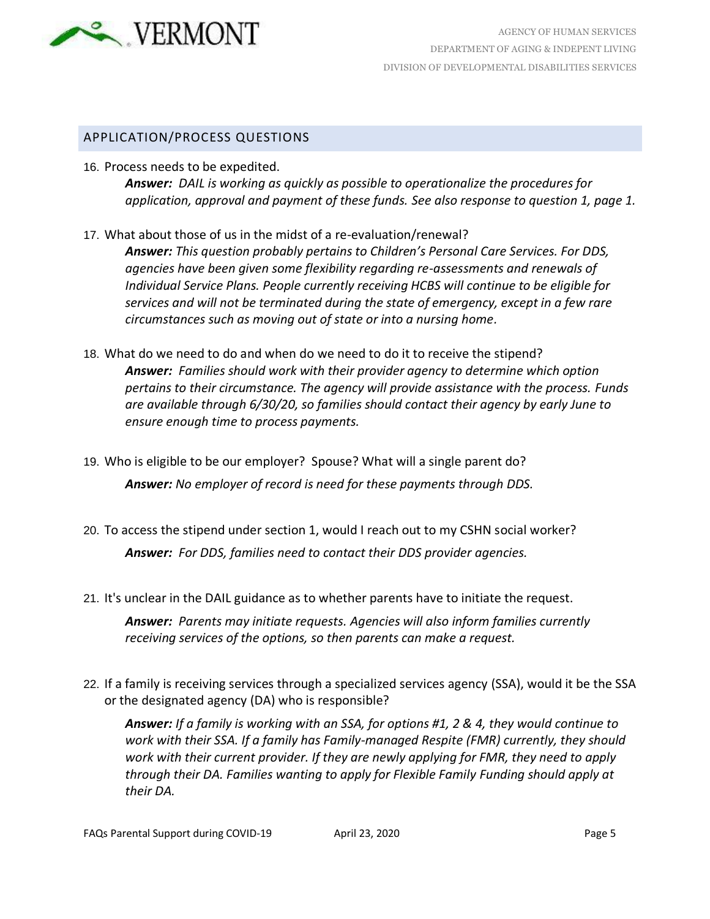

## APPLICATION/PROCESS QUESTIONS

16. Process needs to be expedited.

*Answer: DAIL is working as quickly as possible to operationalize the procedures for application, approval and payment of these funds. See also response to question 1, page 1.*

- 17. What about those of us in the midst of a re-evaluation/renewal? *Answer: This question probably pertains to Children's Personal Care Services. For DDS, agencies have been given some flexibility regarding re-assessments and renewals of Individual Service Plans. People currently receiving HCBS will continue to be eligible for services and will not be terminated during the state of emergency, except in a few rare circumstances such as moving out of state or into a nursing home.*
- 18. What do we need to do and when do we need to do it to receive the stipend? *Answer: Families should work with their provider agency to determine which option pertains to their circumstance. The agency will provide assistance with the process. Funds are available through 6/30/20, so families should contact their agency by early June to ensure enough time to process payments.*
- 19. Who is eligible to be our employer? Spouse? What will a single parent do? *Answer: No employer of record is need for these payments through DDS.*
- 20. To access the stipend under section 1, would I reach out to my CSHN social worker? *Answer: For DDS, families need to contact their DDS provider agencies.*
- 21. It's unclear in the DAIL guidance as to whether parents have to initiate the request.

*Answer: Parents may initiate requests. Agencies will also inform families currently receiving services of the options, so then parents can make a request.*

22. If a family is receiving services through a specialized services agency (SSA), would it be the SSA or the designated agency (DA) who is responsible?

*Answer: If a family is working with an SSA, for options #1, 2 & 4, they would continue to work with their SSA. If a family has Family-managed Respite (FMR) currently, they should work with their current provider. If they are newly applying for FMR, they need to apply through their DA. Families wanting to apply for Flexible Family Funding should apply at their DA.*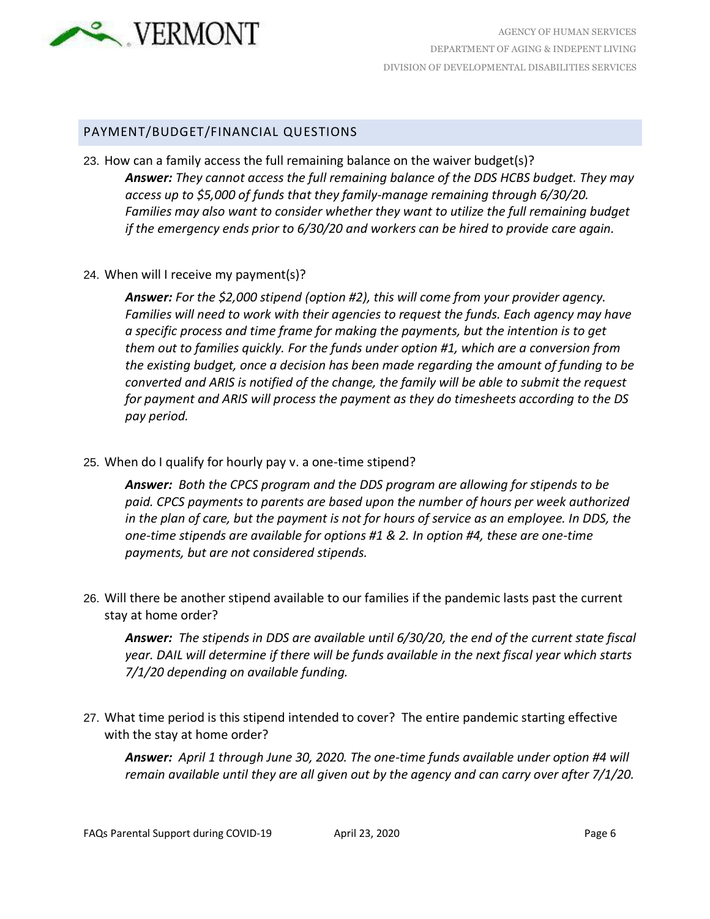

### PAYMENT/BUDGET/FINANCIAL QUESTIONS

- 23. How can a family access the full remaining balance on the waiver budget(s)? *Answer: They cannot access the full remaining balance of the DDS HCBS budget. They may access up to \$5,000 of funds that they family-manage remaining through 6/30/20. Families may also want to consider whether they want to utilize the full remaining budget if the emergency ends prior to 6/30/20 and workers can be hired to provide care again.*
- 24. When will I receive my payment(s)?

*Answer: For the \$2,000 stipend (option #2), this will come from your provider agency. Families will need to work with their agencies to request the funds. Each agency may have a specific process and time frame for making the payments, but the intention is to get them out to families quickly. For the funds under option #1, which are a conversion from the existing budget, once a decision has been made regarding the amount of funding to be converted and ARIS is notified of the change, the family will be able to submit the request for payment and ARIS will process the payment as they do timesheets according to the DS pay period.*

25. When do I qualify for hourly pay v. a one-time stipend?

*Answer: Both the CPCS program and the DDS program are allowing for stipends to be paid. CPCS payments to parents are based upon the number of hours per week authorized*  in the plan of care, but the payment is not for hours of service as an employee. In DDS, the *one-time stipends are available for options #1 & 2. In option #4, these are one-time payments, but are not considered stipends.* 

26. Will there be another stipend available to our families if the pandemic lasts past the current stay at home order?

*Answer: The stipends in DDS are available until 6/30/20, the end of the current state fiscal year. DAIL will determine if there will be funds available in the next fiscal year which starts 7/1/20 depending on available funding.*

27. What time period is this stipend intended to cover? The entire pandemic starting effective with the stay at home order?

*Answer: April 1 through June 30, 2020. The one-time funds available under option #4 will remain available until they are all given out by the agency and can carry over after 7/1/20.*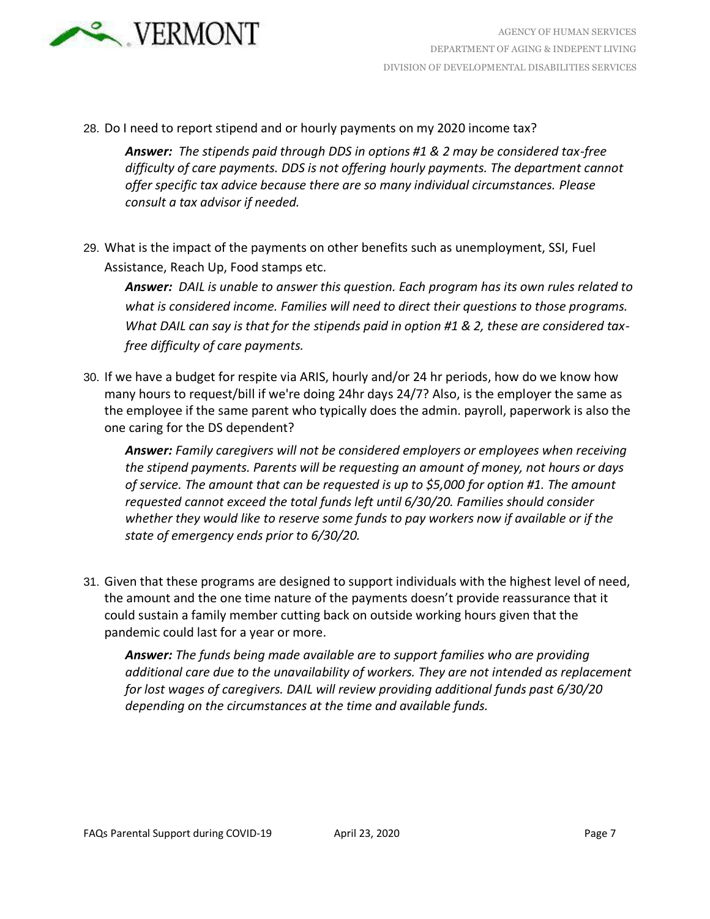

28. Do I need to report stipend and or hourly payments on my 2020 income tax?

*Answer: The stipends paid through DDS in options #1 & 2 may be considered tax-free difficulty of care payments. DDS is not offering hourly payments. The department cannot offer specific tax advice because there are so many individual circumstances. Please consult a tax advisor if needed.*

29. What is the impact of the payments on other benefits such as unemployment, SSI, Fuel Assistance, Reach Up, Food stamps etc.

*Answer: DAIL is unable to answer this question. Each program has its own rules related to what is considered income. Families will need to direct their questions to those programs. What DAIL can say is that for the stipends paid in option #1 & 2, these are considered taxfree difficulty of care payments.*

30. If we have a budget for respite via ARIS, hourly and/or 24 hr periods, how do we know how many hours to request/bill if we're doing 24hr days 24/7? Also, is the employer the same as the employee if the same parent who typically does the admin. payroll, paperwork is also the one caring for the DS dependent?

*Answer: Family caregivers will not be considered employers or employees when receiving the stipend payments. Parents will be requesting an amount of money, not hours or days of service. The amount that can be requested is up to \$5,000 for option #1. The amount requested cannot exceed the total funds left until 6/30/20. Families should consider whether they would like to reserve some funds to pay workers now if available or if the state of emergency ends prior to 6/30/20.*

31. Given that these programs are designed to support individuals with the highest level of need, the amount and the one time nature of the payments doesn't provide reassurance that it could sustain a family member cutting back on outside working hours given that the pandemic could last for a year or more.

*Answer: The funds being made available are to support families who are providing additional care due to the unavailability of workers. They are not intended as replacement for lost wages of caregivers. DAIL will review providing additional funds past 6/30/20 depending on the circumstances at the time and available funds.*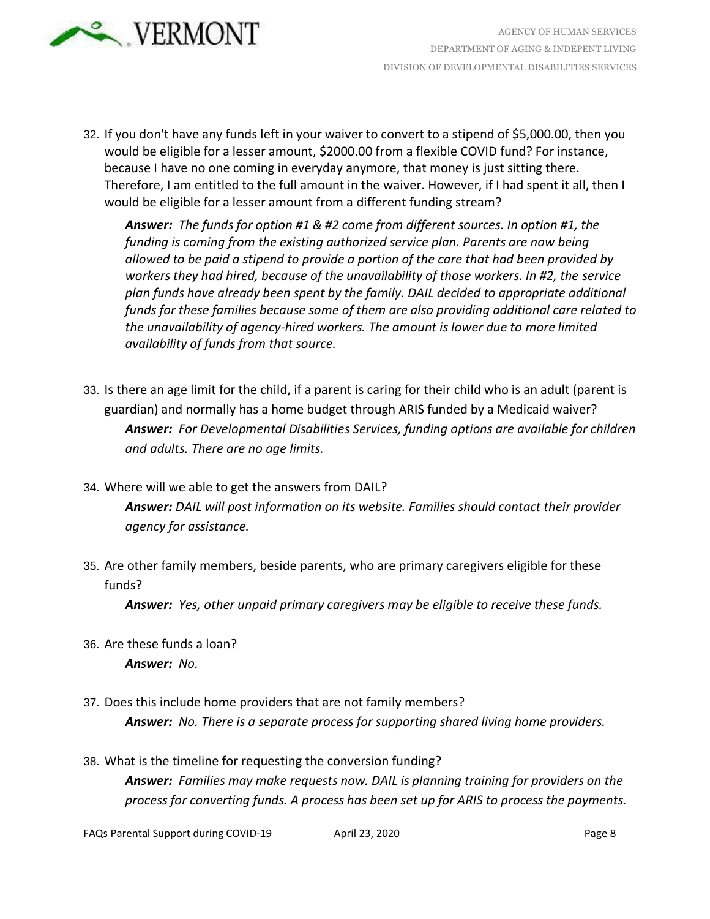

32. If you don't have any funds left in your waiver to convert to a stipend of \$5,000.00, then you would be eligible for a lesser amount, \$2000.00 from a flexible COVID fund? For instance, because I have no one coming in everyday anymore, that money is just sitting there. Therefore, I am entitled to the full amount in the waiver. However, if I had spent it all, then I would be eligible for a lesser amount from a different funding stream?

*Answer: The funds for option #1 & #2 come from different sources. In option #1, the funding is coming from the existing authorized service plan. Parents are now being allowed to be paid a stipend to provide a portion of the care that had been provided by workers they had hired, because of the unavailability of those workers. In #2, the service plan funds have already been spent by the family. DAIL decided to appropriate additional funds for these families because some of them are also providing additional care related to the unavailability of agency-hired workers. The amount is lower due to more limited availability of funds from that source.*

- 33. Is there an age limit for the child, if a parent is caring for their child who is an adult (parent is guardian) and normally has a home budget through ARIS funded by a Medicaid waiver? *Answer: For Developmental Disabilities Services, funding options are available for children and adults. There are no age limits.*
- 34. Where will we able to get the answers from DAIL?

*Answer: DAIL will post information on its website. Families should contact their provider agency for assistance.*

35. Are other family members, beside parents, who are primary caregivers eligible for these funds?

*Answer: Yes, other unpaid primary caregivers may be eligible to receive these funds.*

- 36. Are these funds a loan? *Answer: No.*
- 37. Does this include home providers that are not family members? *Answer: No. There is a separate process for supporting shared living home providers.*
- 38. What is the timeline for requesting the conversion funding? *Answer: Families may make requests now. DAIL is planning training for providers on the process for converting funds. A process has been set up for ARIS to process the payments.*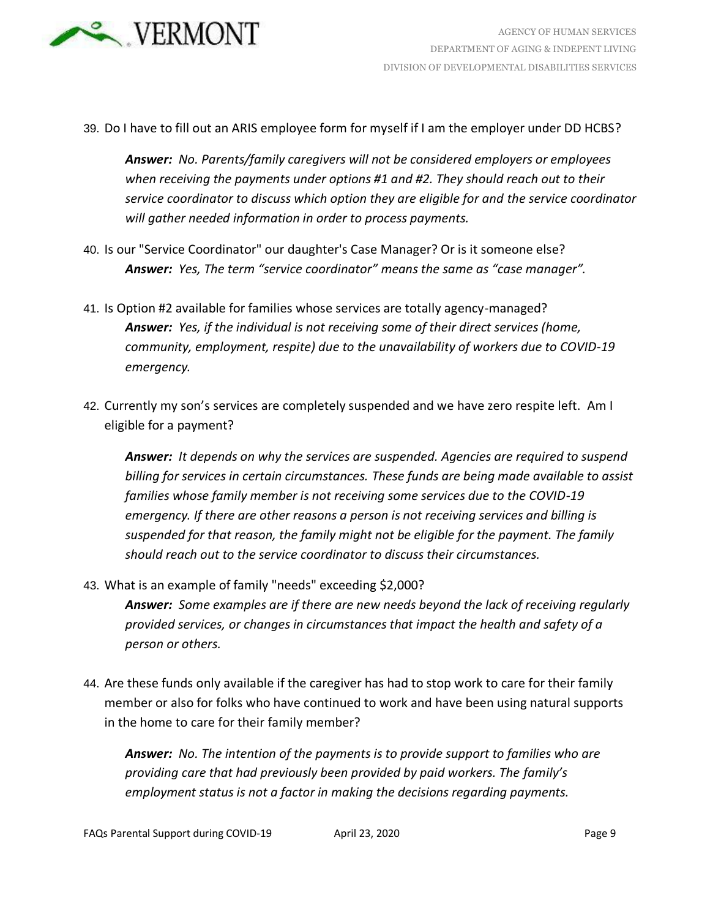

39. Do I have to fill out an ARIS employee form for myself if I am the employer under DD HCBS?

*Answer: No. Parents/family caregivers will not be considered employers or employees when receiving the payments under options #1 and #2. They should reach out to their service coordinator to discuss which option they are eligible for and the service coordinator will gather needed information in order to process payments.*

- 40. Is our "Service Coordinator" our daughter's Case Manager? Or is it someone else? *Answer: Yes, The term "service coordinator" means the same as "case manager".*
- 41. Is Option #2 available for families whose services are totally agency-managed? *Answer: Yes, if the individual is not receiving some of their direct services (home, community, employment, respite) due to the unavailability of workers due to COVID-19 emergency.*
- 42. Currently my son's services are completely suspended and we have zero respite left. Am I eligible for a payment?

*Answer: It depends on why the services are suspended. Agencies are required to suspend billing for services in certain circumstances. These funds are being made available to assist families whose family member is not receiving some services due to the COVID-19 emergency. If there are other reasons a person is not receiving services and billing is suspended for that reason, the family might not be eligible for the payment. The family should reach out to the service coordinator to discuss their circumstances.*

- 43. What is an example of family "needs" exceeding \$2,000? *Answer: Some examples are if there are new needs beyond the lack of receiving regularly provided services, or changes in circumstances that impact the health and safety of a person or others.*
- 44. Are these funds only available if the caregiver has had to stop work to care for their family member or also for folks who have continued to work and have been using natural supports in the home to care for their family member?

*Answer: No. The intention of the payments is to provide support to families who are providing care that had previously been provided by paid workers. The family's employment status is not a factor in making the decisions regarding payments.*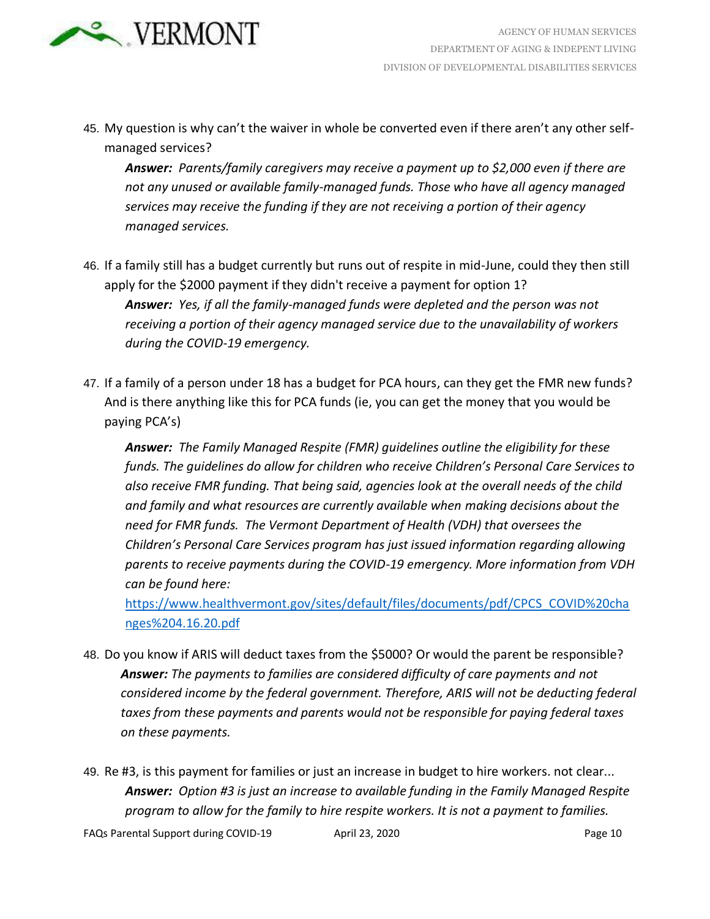

45. My question is why can't the waiver in whole be converted even if there aren't any other selfmanaged services?

*Answer: Parents/family caregivers may receive a payment up to \$2,000 even if there are not any unused or available family-managed funds. Those who have all agency managed services may receive the funding if they are not receiving a portion of their agency managed services.*

- 46. If a family still has a budget currently but runs out of respite in mid-June, could they then still apply for the \$2000 payment if they didn't receive a payment for option 1? *Answer: Yes, if all the family-managed funds were depleted and the person was not receiving a portion of their agency managed service due to the unavailability of workers during the COVID-19 emergency.*
- 47. If a family of a person under 18 has a budget for PCA hours, can they get the FMR new funds? And is there anything like this for PCA funds (ie, you can get the money that you would be paying PCA's)

*Answer: The Family Managed Respite (FMR) guidelines outline the eligibility for these funds. The guidelines do allow for children who receive Children's Personal Care Services to also receive FMR funding. That being said, agencies look at the overall needs of the child and family and what resources are currently available when making decisions about the need for FMR funds. The Vermont Department of Health (VDH) that oversees the Children's Personal Care Services program has just issued information regarding allowing parents to receive payments during the COVID-19 emergency. More information from VDH can be found here:* 

[https://www.healthvermont.gov/sites/default/files/documents/pdf/CPCS\\_COVID%20cha](https://www.healthvermont.gov/sites/default/files/documents/pdf/CPCS_COVID%20changes%204.16.20.pdf) [nges%204.16.20.pdf](https://www.healthvermont.gov/sites/default/files/documents/pdf/CPCS_COVID%20changes%204.16.20.pdf)

48. Do you know if ARIS will deduct taxes from the \$5000? Or would the parent be responsible? *Answer: The payments to families are considered difficulty of care payments and not considered income by the federal government. Therefore, ARIS will not be deducting federal taxes from these payments and parents would not be responsible for paying federal taxes on these payments.*

49. Re #3, is this payment for families or just an increase in budget to hire workers. not clear... *Answer: Option #3 is just an increase to available funding in the Family Managed Respite program to allow for the family to hire respite workers. It is not a payment to families.*

FAQs Parental Support during COVID-19 April 23, 2020 April 23, 2020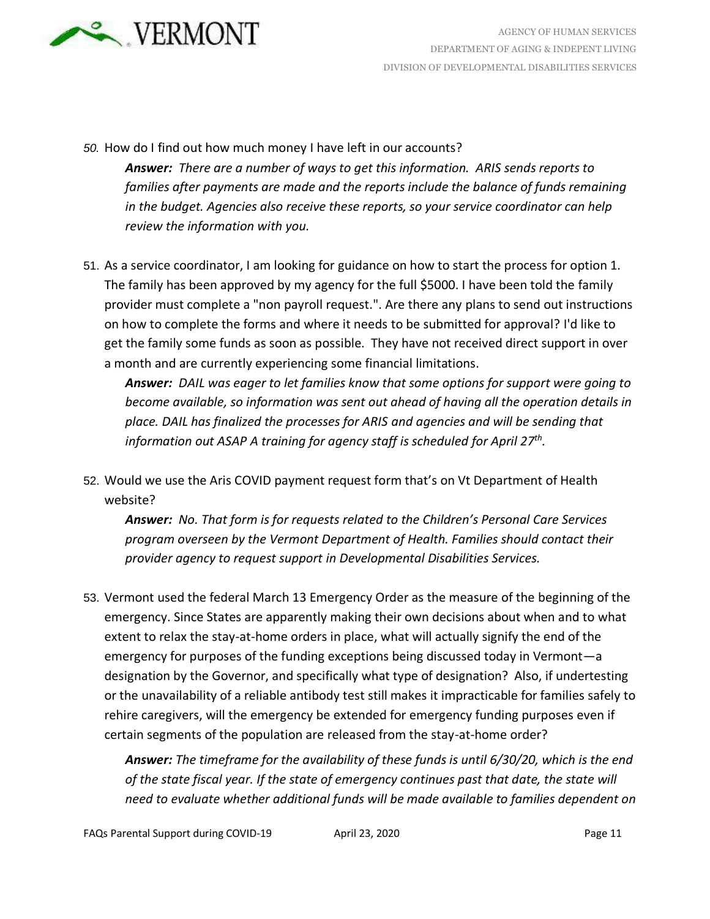

*50.* How do I find out how much money I have left in our accounts?

- *Answer: There are a number of ways to get this information. ARIS sends reports to families after payments are made and the reports include the balance of funds remaining in the budget. Agencies also receive these reports, so your service coordinator can help review the information with you.*
- 51. As a service coordinator, I am looking for guidance on how to start the process for option 1. The family has been approved by my agency for the full \$5000. I have been told the family provider must complete a "non payroll request.". Are there any plans to send out instructions on how to complete the forms and where it needs to be submitted for approval? I'd like to get the family some funds as soon as possible. They have not received direct support in over a month and are currently experiencing some financial limitations.

*Answer: DAIL was eager to let families know that some options for support were going to become available, so information was sent out ahead of having all the operation details in place. DAIL has finalized the processes for ARIS and agencies and will be sending that information out ASAP A training for agency staff is scheduled for April 27th .*

52. Would we use the Aris COVID payment request form that's on Vt Department of Health website?

*Answer: No. That form is for requests related to the Children's Personal Care Services program overseen by the Vermont Department of Health. Families should contact their provider agency to request support in Developmental Disabilities Services.*

53. Vermont used the federal March 13 Emergency Order as the measure of the beginning of the emergency. Since States are apparently making their own decisions about when and to what extent to relax the stay-at-home orders in place, what will actually signify the end of the emergency for purposes of the funding exceptions being discussed today in Vermont—a designation by the Governor, and specifically what type of designation? Also, if undertesting or the unavailability of a reliable antibody test still makes it impracticable for families safely to rehire caregivers, will the emergency be extended for emergency funding purposes even if certain segments of the population are released from the stay-at-home order?

*Answer: The timeframe for the availability of these funds is until 6/30/20, which is the end of the state fiscal year. If the state of emergency continues past that date, the state will need to evaluate whether additional funds will be made available to families dependent on*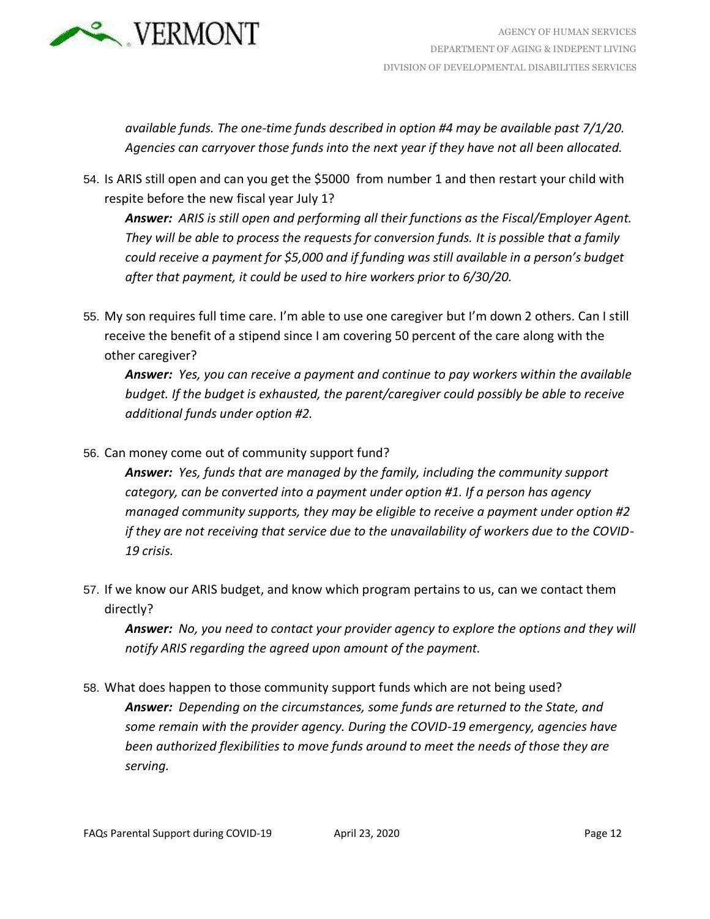

*available funds. The one-time funds described in option #4 may be available past 7/1/20. Agencies can carryover those funds into the next year if they have not all been allocated.*

54. Is ARIS still open and can you get the \$5000 from number 1 and then restart your child with respite before the new fiscal year July 1?

*Answer: ARIS is still open and performing all their functions as the Fiscal/Employer Agent. They will be able to process the requests for conversion funds. It is possible that a family could receive a payment for \$5,000 and if funding was still available in a person's budget after that payment, it could be used to hire workers prior to 6/30/20.*

55. My son requires full time care. I'm able to use one caregiver but I'm down 2 others. Can I still receive the benefit of a stipend since I am covering 50 percent of the care along with the other caregiver?

*Answer: Yes, you can receive a payment and continue to pay workers within the available budget. If the budget is exhausted, the parent/caregiver could possibly be able to receive additional funds under option #2.*

56. Can money come out of community support fund?

*Answer: Yes, funds that are managed by the family, including the community support category, can be converted into a payment under option #1. If a person has agency managed community supports, they may be eligible to receive a payment under option #2 if they are not receiving that service due to the unavailability of workers due to the COVID-19 crisis.*

57. If we know our ARIS budget, and know which program pertains to us, can we contact them directly?

*Answer: No, you need to contact your provider agency to explore the options and they will notify ARIS regarding the agreed upon amount of the payment.*

58. What does happen to those community support funds which are not being used? *Answer: Depending on the circumstances, some funds are returned to the State, and some remain with the provider agency. During the COVID-19 emergency, agencies have been authorized flexibilities to move funds around to meet the needs of those they are serving.*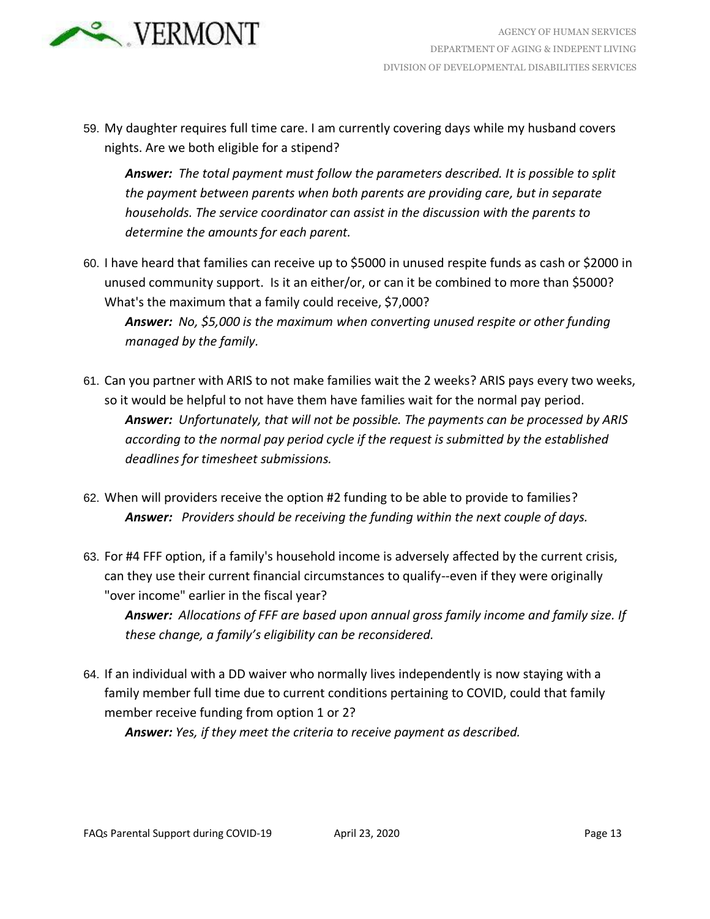

59. My daughter requires full time care. I am currently covering days while my husband covers nights. Are we both eligible for a stipend?

*Answer: The total payment must follow the parameters described. It is possible to split the payment between parents when both parents are providing care, but in separate households. The service coordinator can assist in the discussion with the parents to determine the amounts for each parent.*

- 60. I have heard that families can receive up to \$5000 in unused respite funds as cash or \$2000 in unused community support. Is it an either/or, or can it be combined to more than \$5000? What's the maximum that a family could receive, \$7,000? *Answer: No, \$5,000 is the maximum when converting unused respite or other funding*
- *managed by the family.* 61. Can you partner with ARIS to not make families wait the 2 weeks? ARIS pays every two weeks,
- so it would be helpful to not have them have families wait for the normal pay period. *Answer: Unfortunately, that will not be possible. The payments can be processed by ARIS according to the normal pay period cycle if the request is submitted by the established deadlines for timesheet submissions.*
- 62. When will providers receive the option #2 funding to be able to provide to families? *Answer: Providers should be receiving the funding within the next couple of days.*
- 63. For #4 FFF option, if a family's household income is adversely affected by the current crisis, can they use their current financial circumstances to qualify--even if they were originally "over income" earlier in the fiscal year?

*Answer: Allocations of FFF are based upon annual gross family income and family size. If these change, a family's eligibility can be reconsidered.*

64. If an individual with a DD waiver who normally lives independently is now staying with a family member full time due to current conditions pertaining to COVID, could that family member receive funding from option 1 or 2?

*Answer: Yes, if they meet the criteria to receive payment as described.*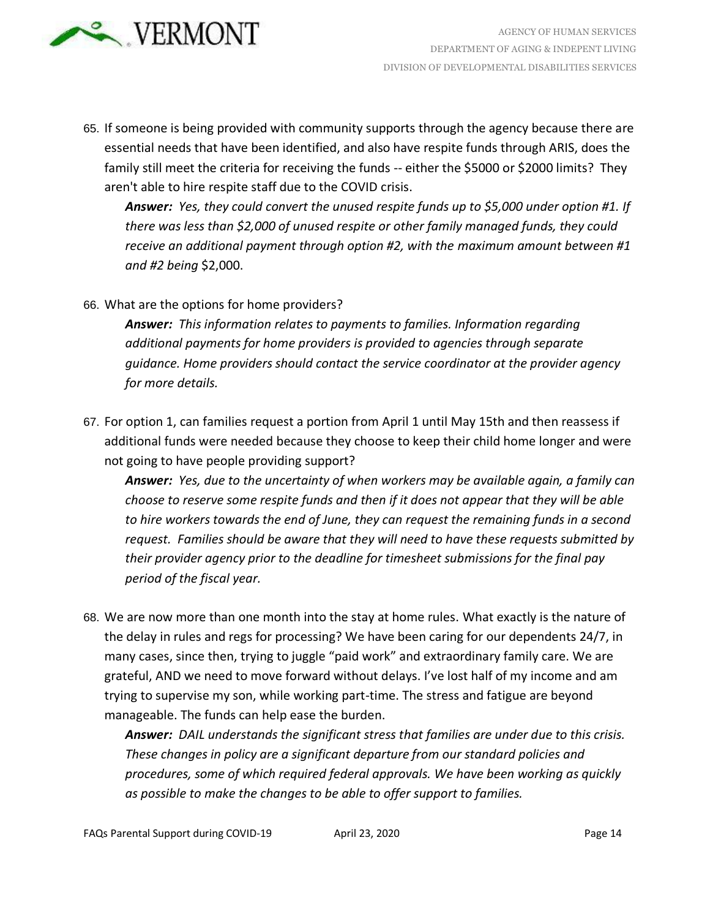

65. If someone is being provided with community supports through the agency because there are essential needs that have been identified, and also have respite funds through ARIS, does the family still meet the criteria for receiving the funds -- either the \$5000 or \$2000 limits? They aren't able to hire respite staff due to the COVID crisis.

*Answer: Yes, they could convert the unused respite funds up to \$5,000 under option #1. If there was less than \$2,000 of unused respite or other family managed funds, they could receive an additional payment through option #2, with the maximum amount between #1 and #2 being* \$2,000.

66. What are the options for home providers?

*Answer: This information relates to payments to families. Information regarding additional payments for home providers is provided to agencies through separate guidance. Home providers should contact the service coordinator at the provider agency for more details.*

67. For option 1, can families request a portion from April 1 until May 15th and then reassess if additional funds were needed because they choose to keep their child home longer and were not going to have people providing support?

*Answer: Yes, due to the uncertainty of when workers may be available again, a family can choose to reserve some respite funds and then if it does not appear that they will be able to hire workers towards the end of June, they can request the remaining funds in a second request. Families should be aware that they will need to have these requests submitted by their provider agency prior to the deadline for timesheet submissions for the final pay period of the fiscal year.* 

68. We are now more than one month into the stay at home rules. What exactly is the nature of the delay in rules and regs for processing? We have been caring for our dependents 24/7, in many cases, since then, trying to juggle "paid work" and extraordinary family care. We are grateful, AND we need to move forward without delays. I've lost half of my income and am trying to supervise my son, while working part-time. The stress and fatigue are beyond manageable. The funds can help ease the burden.

*Answer: DAIL understands the significant stress that families are under due to this crisis. These changes in policy are a significant departure from our standard policies and procedures, some of which required federal approvals. We have been working as quickly as possible to make the changes to be able to offer support to families.*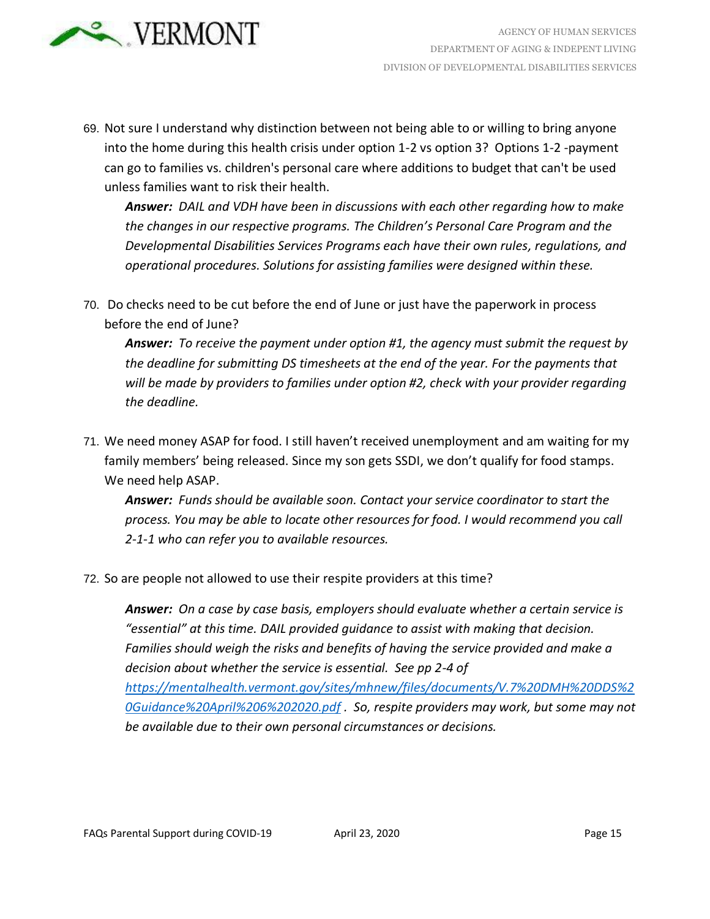

69. Not sure I understand why distinction between not being able to or willing to bring anyone into the home during this health crisis under option 1-2 vs option 3? Options 1-2 -payment can go to families vs. children's personal care where additions to budget that can't be used unless families want to risk their health.

*Answer: DAIL and VDH have been in discussions with each other regarding how to make the changes in our respective programs. The Children's Personal Care Program and the Developmental Disabilities Services Programs each have their own rules, regulations, and operational procedures. Solutions for assisting families were designed within these.*

70. Do checks need to be cut before the end of June or just have the paperwork in process before the end of June?

*Answer: To receive the payment under option #1, the agency must submit the request by the deadline for submitting DS timesheets at the end of the year. For the payments that will be made by providers to families under option #2, check with your provider regarding the deadline.*

71. We need money ASAP for food. I still haven't received unemployment and am waiting for my family members' being released. Since my son gets SSDI, we don't qualify for food stamps. We need help ASAP.

*Answer: Funds should be available soon. Contact your service coordinator to start the process. You may be able to locate other resources for food. I would recommend you call 2-1-1 who can refer you to available resources.*

72. So are people not allowed to use their respite providers at this time?

*Answer: On a case by case basis, employers should evaluate whether a certain service is "essential" at this time. DAIL provided guidance to assist with making that decision. Families should weigh the risks and benefits of having the service provided and make a decision about whether the service is essential. See pp 2-4 of [https://mentalhealth.vermont.gov/sites/mhnew/files/documents/V.7%20DMH%20DDS%2](https://mentalhealth.vermont.gov/sites/mhnew/files/documents/V.7%20DMH%20DDS%20Guidance%20April%206%202020.pdf) [0Guidance%20April%206%202020.pdf](https://mentalhealth.vermont.gov/sites/mhnew/files/documents/V.7%20DMH%20DDS%20Guidance%20April%206%202020.pdf) . So, respite providers may work, but some may not be available due to their own personal circumstances or decisions.*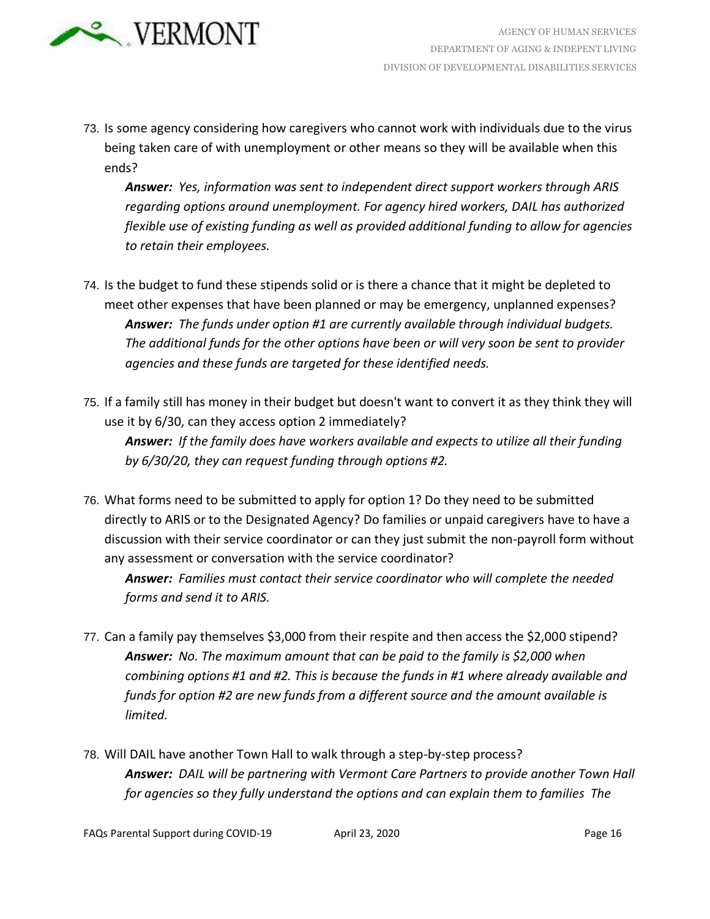

73. Is some agency considering how caregivers who cannot work with individuals due to the virus being taken care of with unemployment or other means so they will be available when this ends?

*Answer: Yes, information was sent to independent direct support workers through ARIS regarding options around unemployment. For agency hired workers, DAIL has authorized flexible use of existing funding as well as provided additional funding to allow for agencies to retain their employees.*

- 74. Is the budget to fund these stipends solid or is there a chance that it might be depleted to meet other expenses that have been planned or may be emergency, unplanned expenses? *Answer: The funds under option #1 are currently available through individual budgets. The additional funds for the other options have been or will very soon be sent to provider agencies and these funds are targeted for these identified needs.*
- 75. If a family still has money in their budget but doesn't want to convert it as they think they will use it by 6/30, can they access option 2 immediately? *Answer: If the family does have workers available and expects to utilize all their funding by 6/30/20, they can request funding through options #2.*
- 76. What forms need to be submitted to apply for option 1? Do they need to be submitted directly to ARIS or to the Designated Agency? Do families or unpaid caregivers have to have a discussion with their service coordinator or can they just submit the non-payroll form without any assessment or conversation with the service coordinator?

*Answer: Families must contact their service coordinator who will complete the needed forms and send it to ARIS.*

- 77. Can a family pay themselves \$3,000 from their respite and then access the \$2,000 stipend? *Answer: No. The maximum amount that can be paid to the family is \$2,000 when combining options #1 and #2. This is because the funds in #1 where already available and funds for option #2 are new funds from a different source and the amount available is limited.*
- 78. Will DAIL have another Town Hall to walk through a step-by-step process? *Answer: DAIL will be partnering with Vermont Care Partners to provide another Town Hall for agencies so they fully understand the options and can explain them to families The*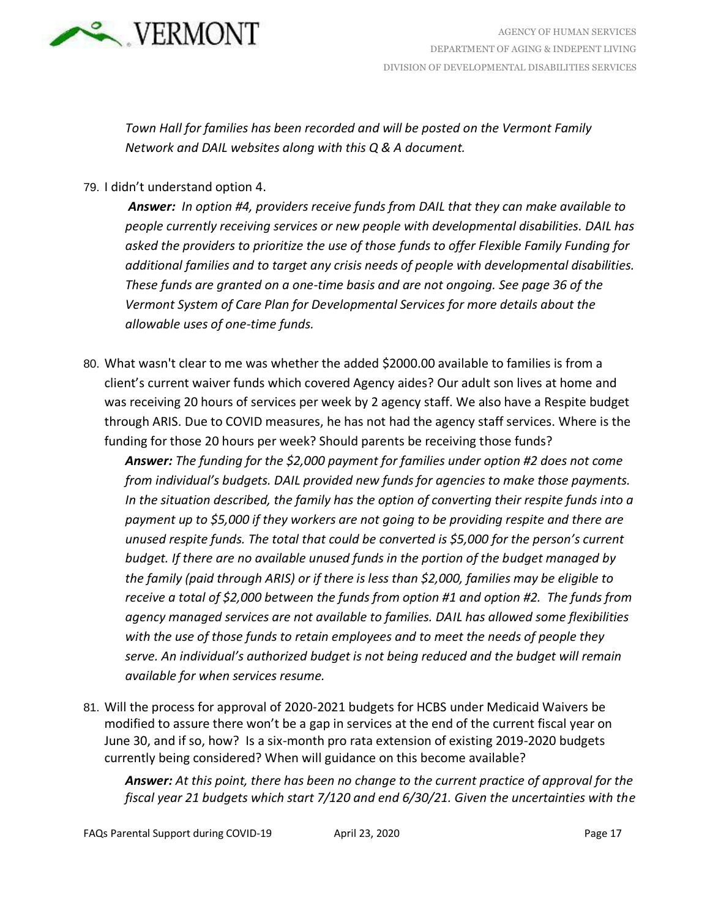

*Town Hall for families has been recorded and will be posted on the Vermont Family Network and DAIL websites along with this Q & A document.*

79. I didn't understand option 4.

*Answer: In option #4, providers receive funds from DAIL that they can make available to people currently receiving services or new people with developmental disabilities. DAIL has asked the providers to prioritize the use of those funds to offer Flexible Family Funding for additional families and to target any crisis needs of people with developmental disabilities. These funds are granted on a one-time basis and are not ongoing. See page 36 of the Vermont System of Care Plan for Developmental Services for more details about the allowable uses of one-time funds.* 

80. What wasn't clear to me was whether the added \$2000.00 available to families is from a client's current waiver funds which covered Agency aides? Our adult son lives at home and was receiving 20 hours of services per week by 2 agency staff. We also have a Respite budget through ARIS. Due to COVID measures, he has not had the agency staff services. Where is the funding for those 20 hours per week? Should parents be receiving those funds?

*Answer: The funding for the \$2,000 payment for families under option #2 does not come from individual's budgets. DAIL provided new funds for agencies to make those payments. In the situation described, the family has the option of converting their respite funds into a payment up to \$5,000 if they workers are not going to be providing respite and there are unused respite funds. The total that could be converted is \$5,000 for the person's current budget. If there are no available unused funds in the portion of the budget managed by the family (paid through ARIS) or if there is less than \$2,000, families may be eligible to receive a total of \$2,000 between the funds from option #1 and option #2. The funds from agency managed services are not available to families. DAIL has allowed some flexibilities with the use of those funds to retain employees and to meet the needs of people they serve. An individual's authorized budget is not being reduced and the budget will remain available for when services resume.*

81. Will the process for approval of 2020-2021 budgets for HCBS under Medicaid Waivers be modified to assure there won't be a gap in services at the end of the current fiscal year on June 30, and if so, how? Is a six-month pro rata extension of existing 2019-2020 budgets currently being considered? When will guidance on this become available?

*Answer: At this point, there has been no change to the current practice of approval for the fiscal year 21 budgets which start 7/120 and end 6/30/21. Given the uncertainties with the*